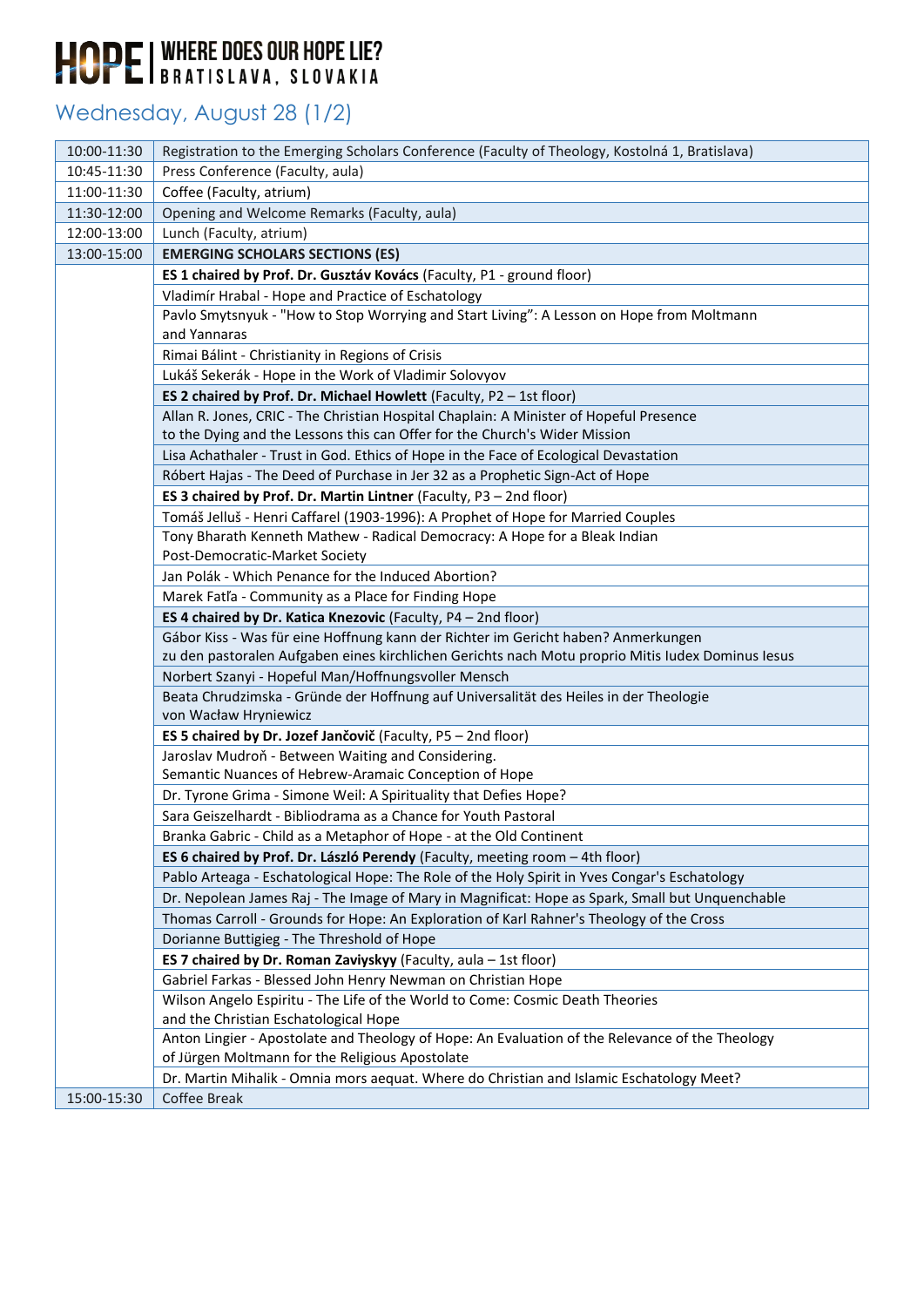### Wednesday, August 28 (1/2)

| 10:00-11:30 | Registration to the Emerging Scholars Conference (Faculty of Theology, Kostolná 1, Bratislava)    |
|-------------|---------------------------------------------------------------------------------------------------|
| 10:45-11:30 | Press Conference (Faculty, aula)                                                                  |
| 11:00-11:30 | Coffee (Faculty, atrium)                                                                          |
| 11:30-12:00 | Opening and Welcome Remarks (Faculty, aula)                                                       |
| 12:00-13:00 | Lunch (Faculty, atrium)                                                                           |
| 13:00-15:00 | <b>EMERGING SCHOLARS SECTIONS (ES)</b>                                                            |
|             | ES 1 chaired by Prof. Dr. Gusztáv Kovács (Faculty, P1 - ground floor)                             |
|             | Vladimír Hrabal - Hope and Practice of Eschatology                                                |
|             | Pavlo Smytsnyuk - "How to Stop Worrying and Start Living": A Lesson on Hope from Moltmann         |
|             | and Yannaras                                                                                      |
|             | Rimai Bálint - Christianity in Regions of Crisis                                                  |
|             | Lukáš Sekerák - Hope in the Work of Vladimir Solovyov                                             |
|             | ES 2 chaired by Prof. Dr. Michael Howlett (Faculty, P2 - 1st floor)                               |
|             | Allan R. Jones, CRIC - The Christian Hospital Chaplain: A Minister of Hopeful Presence            |
|             | to the Dying and the Lessons this can Offer for the Church's Wider Mission                        |
|             | Lisa Achathaler - Trust in God. Ethics of Hope in the Face of Ecological Devastation              |
|             | Róbert Hajas - The Deed of Purchase in Jer 32 as a Prophetic Sign-Act of Hope                     |
|             | ES 3 chaired by Prof. Dr. Martin Lintner (Faculty, P3 - 2nd floor)                                |
|             | Tomáš Jelluš - Henri Caffarel (1903-1996): A Prophet of Hope for Married Couples                  |
|             | Tony Bharath Kenneth Mathew - Radical Democracy: A Hope for a Bleak Indian                        |
|             | Post-Democratic-Market Society                                                                    |
|             | Jan Polák - Which Penance for the Induced Abortion?                                               |
|             | Marek Fatl'a - Community as a Place for Finding Hope                                              |
|             | ES 4 chaired by Dr. Katica Knezovic (Faculty, P4 - 2nd floor)                                     |
|             | Gábor Kiss - Was für eine Hoffnung kann der Richter im Gericht haben? Anmerkungen                 |
|             | zu den pastoralen Aufgaben eines kirchlichen Gerichts nach Motu proprio Mitis Iudex Dominus Iesus |
|             | Norbert Szanyi - Hopeful Man/Hoffnungsvoller Mensch                                               |
|             | Beata Chrudzimska - Gründe der Hoffnung auf Universalität des Heiles in der Theologie             |
|             | von Wacław Hryniewicz                                                                             |
|             | ES 5 chaired by Dr. Jozef Jančovič (Faculty, P5 - 2nd floor)                                      |
|             | Jaroslav Mudroň - Between Waiting and Considering.                                                |
|             | Semantic Nuances of Hebrew-Aramaic Conception of Hope                                             |
|             | Dr. Tyrone Grima - Simone Weil: A Spirituality that Defies Hope?                                  |
|             | Sara Geiszelhardt - Bibliodrama as a Chance for Youth Pastoral                                    |
|             | Branka Gabric - Child as a Metaphor of Hope - at the Old Continent                                |
|             | ES 6 chaired by Prof. Dr. László Perendy (Faculty, meeting room - 4th floor)                      |
|             | Pablo Arteaga - Eschatological Hope: The Role of the Holy Spirit in Yves Congar's Eschatology     |
|             | Dr. Nepolean James Raj - The Image of Mary in Magnificat: Hope as Spark, Small but Unquenchable   |
|             | Thomas Carroll - Grounds for Hope: An Exploration of Karl Rahner's Theology of the Cross          |
|             | Dorianne Buttigieg - The Threshold of Hope                                                        |
|             | ES 7 chaired by Dr. Roman Zaviyskyy (Faculty, aula - 1st floor)                                   |
|             | Gabriel Farkas - Blessed John Henry Newman on Christian Hope                                      |
|             | Wilson Angelo Espiritu - The Life of the World to Come: Cosmic Death Theories                     |
|             | and the Christian Eschatological Hope                                                             |
|             | Anton Lingier - Apostolate and Theology of Hope: An Evaluation of the Relevance of the Theology   |
|             | of Jürgen Moltmann for the Religious Apostolate                                                   |
|             | Dr. Martin Mihalik - Omnia mors aequat. Where do Christian and Islamic Eschatology Meet?          |
| 15:00-15:30 | Coffee Break                                                                                      |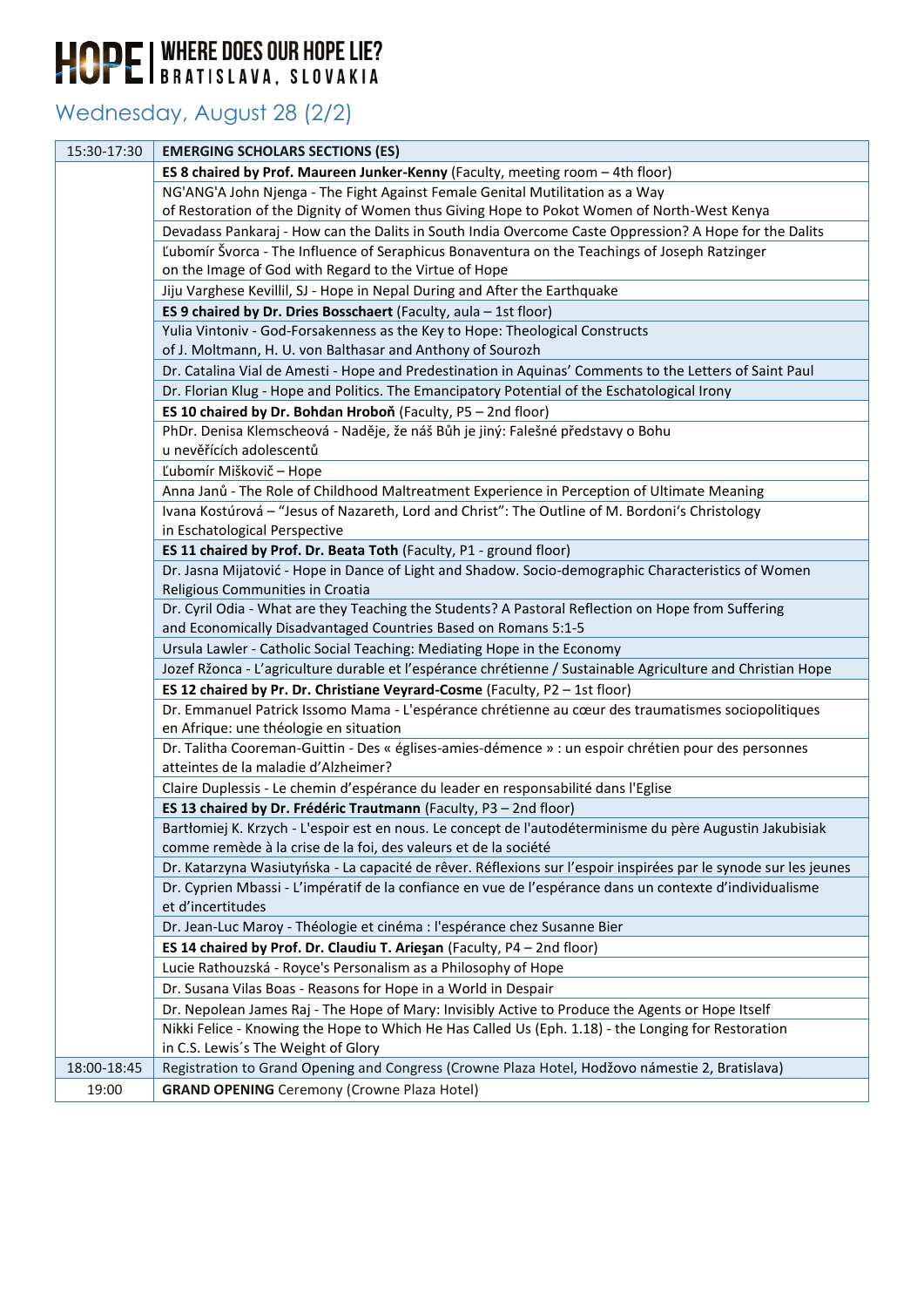### Wednesday, August 28 (2/2)

| 15:30-17:30 | <b>EMERGING SCHOLARS SECTIONS (ES)</b>                                                                                                                                         |
|-------------|--------------------------------------------------------------------------------------------------------------------------------------------------------------------------------|
|             | ES 8 chaired by Prof. Maureen Junker-Kenny (Faculty, meeting room - 4th floor)                                                                                                 |
|             | NG'ANG'A John Njenga - The Fight Against Female Genital Mutilitation as a Way                                                                                                  |
|             | of Restoration of the Dignity of Women thus Giving Hope to Pokot Women of North-West Kenya                                                                                     |
|             | Devadass Pankaraj - How can the Dalits in South India Overcome Caste Oppression? A Hope for the Dalits                                                                         |
|             | Ľubomír Švorca - The Influence of Seraphicus Bonaventura on the Teachings of Joseph Ratzinger                                                                                  |
|             | on the Image of God with Regard to the Virtue of Hope                                                                                                                          |
|             | Jiju Varghese Kevillil, SJ - Hope in Nepal During and After the Earthquake                                                                                                     |
|             | ES 9 chaired by Dr. Dries Bosschaert (Faculty, aula - 1st floor)                                                                                                               |
|             | Yulia Vintoniv - God-Forsakenness as the Key to Hope: Theological Constructs                                                                                                   |
|             | of J. Moltmann, H. U. von Balthasar and Anthony of Sourozh                                                                                                                     |
|             | Dr. Catalina Vial de Amesti - Hope and Predestination in Aquinas' Comments to the Letters of Saint Paul                                                                        |
|             | Dr. Florian Klug - Hope and Politics. The Emancipatory Potential of the Eschatological Irony                                                                                   |
|             | ES 10 chaired by Dr. Bohdan Hroboň (Faculty, P5 - 2nd floor)                                                                                                                   |
|             | PhDr. Denisa Klemscheová - Naděje, že náš Bůh je jiný: Falešné představy o Bohu                                                                                                |
|             | u nevěřících adolescentů                                                                                                                                                       |
|             | Ľubomír Miškovič – Hope                                                                                                                                                        |
|             | Anna Janů - The Role of Childhood Maltreatment Experience in Perception of Ultimate Meaning                                                                                    |
|             | Ivana Kostúrová - "Jesus of Nazareth, Lord and Christ": The Outline of M. Bordoni's Christology                                                                                |
|             | in Eschatological Perspective                                                                                                                                                  |
|             | ES 11 chaired by Prof. Dr. Beata Toth (Faculty, P1 - ground floor)                                                                                                             |
|             | Dr. Jasna Mijatović - Hope in Dance of Light and Shadow. Socio-demographic Characteristics of Women                                                                            |
|             | Religious Communities in Croatia                                                                                                                                               |
|             | Dr. Cyril Odia - What are they Teaching the Students? A Pastoral Reflection on Hope from Suffering                                                                             |
|             | and Economically Disadvantaged Countries Based on Romans 5:1-5                                                                                                                 |
|             | Ursula Lawler - Catholic Social Teaching: Mediating Hope in the Economy                                                                                                        |
|             | Jozef Ržonca - L'agriculture durable et l'espérance chrétienne / Sustainable Agriculture and Christian Hope                                                                    |
|             | ES 12 chaired by Pr. Dr. Christiane Veyrard-Cosme (Faculty, P2 - 1st floor)                                                                                                    |
|             | Dr. Emmanuel Patrick Issomo Mama - L'espérance chrétienne au cœur des traumatismes sociopolitiques                                                                             |
|             | en Afrique: une théologie en situation                                                                                                                                         |
|             | Dr. Talitha Cooreman-Guittin - Des « églises-amies-démence » : un espoir chrétien pour des personnes                                                                           |
|             | atteintes de la maladie d'Alzheimer?                                                                                                                                           |
|             | Claire Duplessis - Le chemin d'espérance du leader en responsabilité dans l'Eglise                                                                                             |
|             | ES 13 chaired by Dr. Frédéric Trautmann (Faculty, P3 - 2nd floor)<br>Bartłomiej K. Krzych - L'espoir est en nous. Le concept de l'autodéterminisme du père Augustin Jakubisiak |
|             | comme remède à la crise de la foi, des valeurs et de la société                                                                                                                |
|             | Dr. Katarzyna Wasiutyńska - La capacité de rêver. Réflexions sur l'espoir inspirées par le synode sur les jeunes                                                               |
|             | Dr. Cyprien Mbassi - L'impératif de la confiance en vue de l'espérance dans un contexte d'individualisme                                                                       |
|             | et d'incertitudes                                                                                                                                                              |
|             | Dr. Jean-Luc Maroy - Théologie et cinéma : l'espérance chez Susanne Bier                                                                                                       |
|             | ES 14 chaired by Prof. Dr. Claudiu T. Arieşan (Faculty, P4 - 2nd floor)                                                                                                        |
|             | Lucie Rathouzská - Royce's Personalism as a Philosophy of Hope                                                                                                                 |
|             | Dr. Susana Vilas Boas - Reasons for Hope in a World in Despair                                                                                                                 |
|             | Dr. Nepolean James Raj - The Hope of Mary: Invisibly Active to Produce the Agents or Hope Itself                                                                               |
|             | Nikki Felice - Knowing the Hope to Which He Has Called Us (Eph. 1.18) - the Longing for Restoration                                                                            |
|             | in C.S. Lewis's The Weight of Glory                                                                                                                                            |
| 18:00-18:45 | Registration to Grand Opening and Congress (Crowne Plaza Hotel, Hodžovo námestie 2, Bratislava)                                                                                |
| 19:00       | <b>GRAND OPENING</b> Ceremony (Crowne Plaza Hotel)                                                                                                                             |
|             |                                                                                                                                                                                |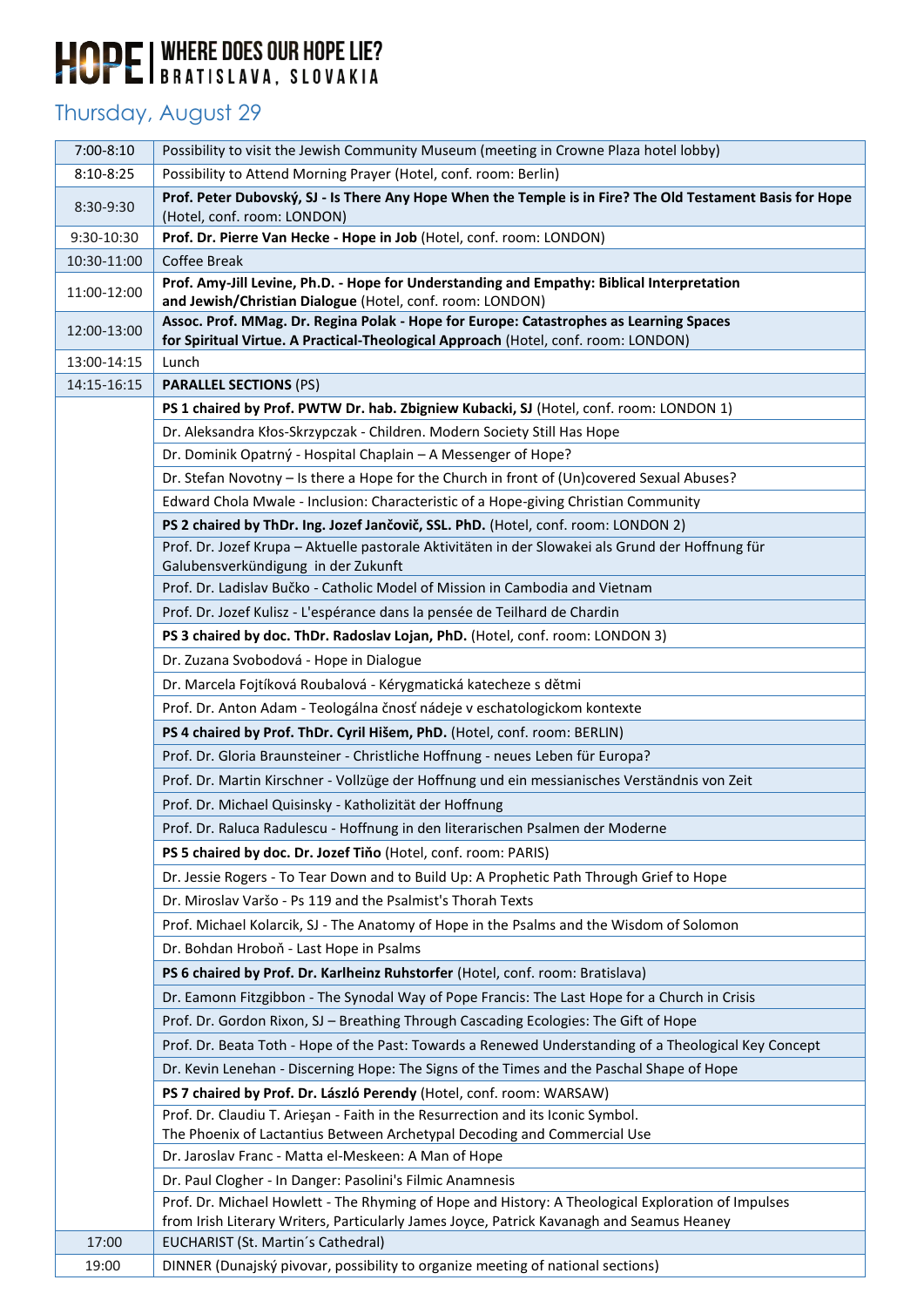#### Thursday, August 29

| 7:00-8:10   | Possibility to visit the Jewish Community Museum (meeting in Crowne Plaza hotel lobby)                                                                                                          |
|-------------|-------------------------------------------------------------------------------------------------------------------------------------------------------------------------------------------------|
| $8:10-8:25$ | Possibility to Attend Morning Prayer (Hotel, conf. room: Berlin)                                                                                                                                |
| 8:30-9:30   | Prof. Peter Dubovský, SJ - Is There Any Hope When the Temple is in Fire? The Old Testament Basis for Hope<br>(Hotel, conf. room: LONDON)                                                        |
| 9:30-10:30  | Prof. Dr. Pierre Van Hecke - Hope in Job (Hotel, conf. room: LONDON)                                                                                                                            |
| 10:30-11:00 | Coffee Break                                                                                                                                                                                    |
| 11:00-12:00 | Prof. Amy-Jill Levine, Ph.D. - Hope for Understanding and Empathy: Biblical Interpretation<br>and Jewish/Christian Dialogue (Hotel, conf. room: LONDON)                                         |
| 12:00-13:00 | Assoc. Prof. MMag. Dr. Regina Polak - Hope for Europe: Catastrophes as Learning Spaces                                                                                                          |
|             | for Spiritual Virtue. A Practical-Theological Approach (Hotel, conf. room: LONDON)                                                                                                              |
| 13:00-14:15 | Lunch                                                                                                                                                                                           |
| 14:15-16:15 | <b>PARALLEL SECTIONS (PS)</b>                                                                                                                                                                   |
|             | PS 1 chaired by Prof. PWTW Dr. hab. Zbigniew Kubacki, SJ (Hotel, conf. room: LONDON 1)                                                                                                          |
|             | Dr. Aleksandra Kłos-Skrzypczak - Children. Modern Society Still Has Hope<br>Dr. Dominik Opatrný - Hospital Chaplain - A Messenger of Hope?                                                      |
|             |                                                                                                                                                                                                 |
|             | Dr. Stefan Novotny - Is there a Hope for the Church in front of (Un)covered Sexual Abuses?                                                                                                      |
|             | Edward Chola Mwale - Inclusion: Characteristic of a Hope-giving Christian Community                                                                                                             |
|             | PS 2 chaired by ThDr. Ing. Jozef Jančovič, SSL. PhD. (Hotel, conf. room: LONDON 2)<br>Prof. Dr. Jozef Krupa - Aktuelle pastorale Aktivitäten in der Slowakei als Grund der Hoffnung für         |
|             | Galubensverkündigung in der Zukunft                                                                                                                                                             |
|             | Prof. Dr. Ladislav Bučko - Catholic Model of Mission in Cambodia and Vietnam                                                                                                                    |
|             | Prof. Dr. Jozef Kulisz - L'espérance dans la pensée de Teilhard de Chardin                                                                                                                      |
|             | PS 3 chaired by doc. ThDr. Radoslav Lojan, PhD. (Hotel, conf. room: LONDON 3)                                                                                                                   |
|             | Dr. Zuzana Svobodová - Hope in Dialogue                                                                                                                                                         |
|             | Dr. Marcela Fojtíková Roubalová - Kérygmatická katecheze s dětmi                                                                                                                                |
|             | Prof. Dr. Anton Adam - Teologálna čnosť nádeje v eschatologickom kontexte                                                                                                                       |
|             | PS 4 chaired by Prof. ThDr. Cyril Hišem, PhD. (Hotel, conf. room: BERLIN)                                                                                                                       |
|             | Prof. Dr. Gloria Braunsteiner - Christliche Hoffnung - neues Leben für Europa?                                                                                                                  |
|             | Prof. Dr. Martin Kirschner - Vollzüge der Hoffnung und ein messianisches Verständnis von Zeit                                                                                                   |
|             | Prof. Dr. Michael Quisinsky - Katholizität der Hoffnung                                                                                                                                         |
|             | Prof. Dr. Raluca Radulescu - Hoffnung in den literarischen Psalmen der Moderne                                                                                                                  |
|             | PS 5 chaired by doc. Dr. Jozef Tiňo (Hotel, conf. room: PARIS)                                                                                                                                  |
|             | Dr. Jessie Rogers - To Tear Down and to Build Up: A Prophetic Path Through Grief to Hope                                                                                                        |
|             | Dr. Miroslav Varšo - Ps 119 and the Psalmist's Thorah Texts                                                                                                                                     |
|             | Prof. Michael Kolarcik, SJ - The Anatomy of Hope in the Psalms and the Wisdom of Solomon                                                                                                        |
|             | Dr. Bohdan Hroboň - Last Hope in Psalms                                                                                                                                                         |
|             | PS 6 chaired by Prof. Dr. Karlheinz Ruhstorfer (Hotel, conf. room: Bratislava)                                                                                                                  |
|             | Dr. Eamonn Fitzgibbon - The Synodal Way of Pope Francis: The Last Hope for a Church in Crisis                                                                                                   |
|             | Prof. Dr. Gordon Rixon, SJ - Breathing Through Cascading Ecologies: The Gift of Hope                                                                                                            |
|             | Prof. Dr. Beata Toth - Hope of the Past: Towards a Renewed Understanding of a Theological Key Concept                                                                                           |
|             | Dr. Kevin Lenehan - Discerning Hope: The Signs of the Times and the Paschal Shape of Hope                                                                                                       |
|             | PS 7 chaired by Prof. Dr. László Perendy (Hotel, conf. room: WARSAW)                                                                                                                            |
|             | Prof. Dr. Claudiu T. Arieşan - Faith in the Resurrection and its Iconic Symbol.                                                                                                                 |
|             | The Phoenix of Lactantius Between Archetypal Decoding and Commercial Use                                                                                                                        |
|             | Dr. Jaroslav Franc - Matta el-Meskeen: A Man of Hope                                                                                                                                            |
|             | Dr. Paul Clogher - In Danger: Pasolini's Filmic Anamnesis                                                                                                                                       |
|             | Prof. Dr. Michael Howlett - The Rhyming of Hope and History: A Theological Exploration of Impulses<br>from Irish Literary Writers, Particularly James Joyce, Patrick Kavanagh and Seamus Heaney |
| 17:00       | EUCHARIST (St. Martin's Cathedral)                                                                                                                                                              |
| 19:00       | DINNER (Dunajský pivovar, possibility to organize meeting of national sections)                                                                                                                 |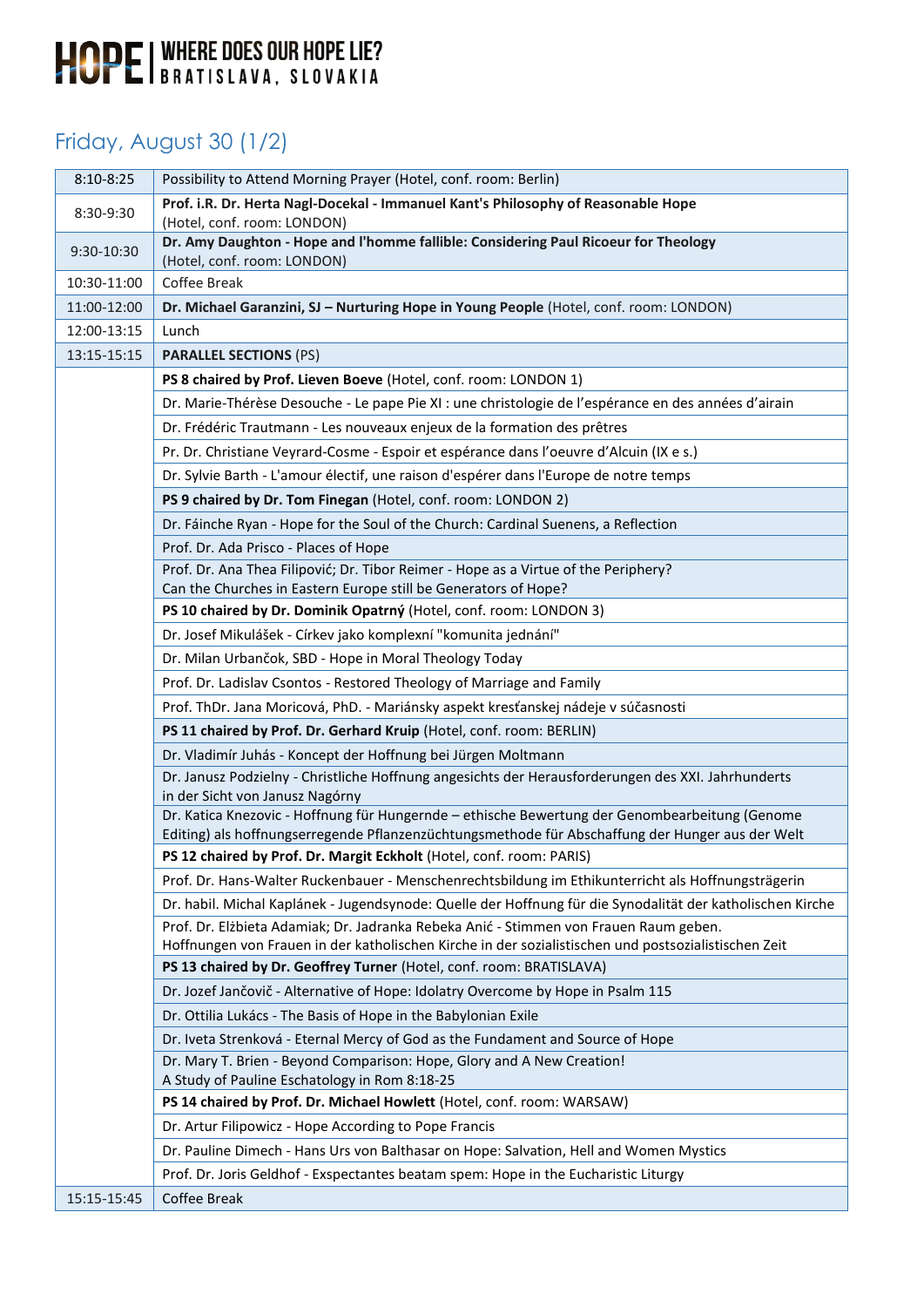### Friday, August 30 (1/2)

| $8:10 - 8:25$ | Possibility to Attend Morning Prayer (Hotel, conf. room: Berlin)                                                                                                                                   |
|---------------|----------------------------------------------------------------------------------------------------------------------------------------------------------------------------------------------------|
| 8:30-9:30     | Prof. i.R. Dr. Herta Nagl-Docekal - Immanuel Kant's Philosophy of Reasonable Hope<br>(Hotel, conf. room: LONDON)                                                                                   |
| 9:30-10:30    | Dr. Amy Daughton - Hope and l'homme fallible: Considering Paul Ricoeur for Theology<br>(Hotel, conf. room: LONDON)                                                                                 |
| 10:30-11:00   | Coffee Break                                                                                                                                                                                       |
| 11:00-12:00   | Dr. Michael Garanzini, SJ - Nurturing Hope in Young People (Hotel, conf. room: LONDON)                                                                                                             |
| 12:00-13:15   | Lunch                                                                                                                                                                                              |
| 13:15-15:15   | <b>PARALLEL SECTIONS (PS)</b>                                                                                                                                                                      |
|               | PS 8 chaired by Prof. Lieven Boeve (Hotel, conf. room: LONDON 1)                                                                                                                                   |
|               | Dr. Marie-Thérèse Desouche - Le pape Pie XI : une christologie de l'espérance en des années d'airain                                                                                               |
|               | Dr. Frédéric Trautmann - Les nouveaux enjeux de la formation des prêtres                                                                                                                           |
|               | Pr. Dr. Christiane Veyrard-Cosme - Espoir et espérance dans l'oeuvre d'Alcuin (IX e s.)                                                                                                            |
|               | Dr. Sylvie Barth - L'amour électif, une raison d'espérer dans l'Europe de notre temps                                                                                                              |
|               | PS 9 chaired by Dr. Tom Finegan (Hotel, conf. room: LONDON 2)                                                                                                                                      |
|               | Dr. Fáinche Ryan - Hope for the Soul of the Church: Cardinal Suenens, a Reflection                                                                                                                 |
|               | Prof. Dr. Ada Prisco - Places of Hope                                                                                                                                                              |
|               | Prof. Dr. Ana Thea Filipović; Dr. Tibor Reimer - Hope as a Virtue of the Periphery?<br>Can the Churches in Eastern Europe still be Generators of Hope?                                             |
|               | PS 10 chaired by Dr. Dominik Opatrný (Hotel, conf. room: LONDON 3)                                                                                                                                 |
|               | Dr. Josef Mikulášek - Církev jako komplexní "komunita jednání"                                                                                                                                     |
|               | Dr. Milan Urbančok, SBD - Hope in Moral Theology Today                                                                                                                                             |
|               | Prof. Dr. Ladislav Csontos - Restored Theology of Marriage and Family                                                                                                                              |
|               | Prof. ThDr. Jana Moricová, PhD. - Mariánsky aspekt kresťanskej nádeje v súčasnosti                                                                                                                 |
|               | PS 11 chaired by Prof. Dr. Gerhard Kruip (Hotel, conf. room: BERLIN)                                                                                                                               |
|               | Dr. Vladimír Juhás - Koncept der Hoffnung bei Jürgen Moltmann                                                                                                                                      |
|               | Dr. Janusz Podzielny - Christliche Hoffnung angesichts der Herausforderungen des XXI. Jahrhunderts<br>in der Sicht von Janusz Nagórny                                                              |
|               | Dr. Katica Knezovic - Hoffnung für Hungernde - ethische Bewertung der Genombearbeitung (Genome<br>Editing) als hoffnungserregende Pflanzenzüchtungsmethode für Abschaffung der Hunger aus der Welt |
|               | PS 12 chaired by Prof. Dr. Margit Eckholt (Hotel, conf. room: PARIS)                                                                                                                               |
|               | Prof. Dr. Hans-Walter Ruckenbauer - Menschenrechtsbildung im Ethikunterricht als Hoffnungsträgerin                                                                                                 |
|               | Dr. habil. Michal Kaplánek - Jugendsynode: Quelle der Hoffnung für die Synodalität der katholischen Kirche                                                                                         |
|               | Prof. Dr. Elżbieta Adamiak; Dr. Jadranka Rebeka Anić - Stimmen von Frauen Raum geben.<br>Hoffnungen von Frauen in der katholischen Kirche in der sozialistischen und postsozialistischen Zeit      |
|               | PS 13 chaired by Dr. Geoffrey Turner (Hotel, conf. room: BRATISLAVA)                                                                                                                               |
|               | Dr. Jozef Jančovič - Alternative of Hope: Idolatry Overcome by Hope in Psalm 115                                                                                                                   |
|               | Dr. Ottilia Lukács - The Basis of Hope in the Babylonian Exile                                                                                                                                     |
|               | Dr. Iveta Strenková - Eternal Mercy of God as the Fundament and Source of Hope                                                                                                                     |
|               | Dr. Mary T. Brien - Beyond Comparison: Hope, Glory and A New Creation!<br>A Study of Pauline Eschatology in Rom 8:18-25                                                                            |
|               | PS 14 chaired by Prof. Dr. Michael Howlett (Hotel, conf. room: WARSAW)                                                                                                                             |
|               | Dr. Artur Filipowicz - Hope According to Pope Francis                                                                                                                                              |
|               | Dr. Pauline Dimech - Hans Urs von Balthasar on Hope: Salvation, Hell and Women Mystics                                                                                                             |
|               | Prof. Dr. Joris Geldhof - Exspectantes beatam spem: Hope in the Eucharistic Liturgy                                                                                                                |
| 15:15-15:45   | Coffee Break                                                                                                                                                                                       |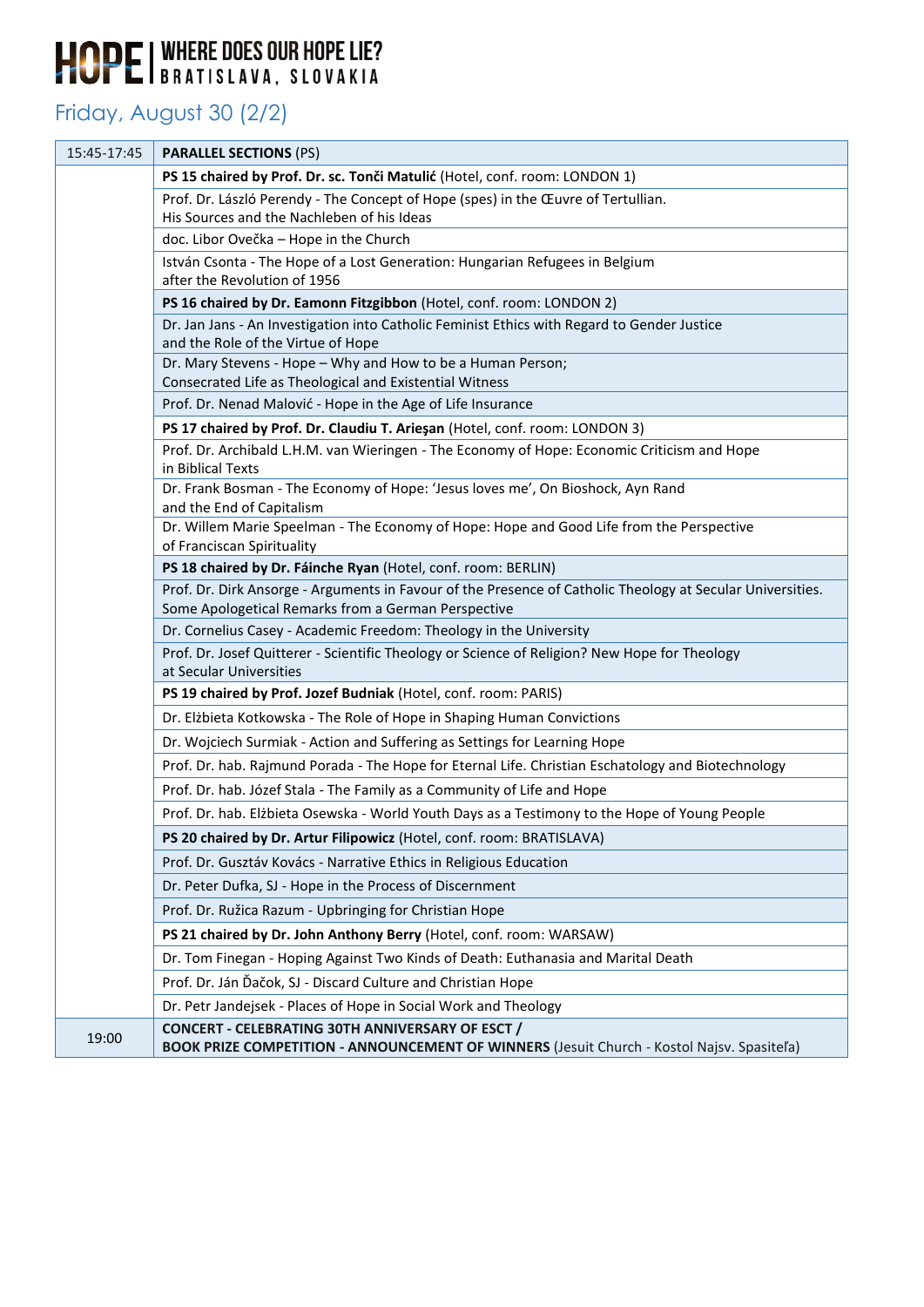### Friday, August 30 (2/2)

| 15:45-17:45 | <b>PARALLEL SECTIONS (PS)</b>                                                                                                                                     |
|-------------|-------------------------------------------------------------------------------------------------------------------------------------------------------------------|
|             | PS 15 chaired by Prof. Dr. sc. Tonči Matulić (Hotel, conf. room: LONDON 1)                                                                                        |
|             | Prof. Dr. László Perendy - The Concept of Hope (spes) in the Œuvre of Tertullian.                                                                                 |
|             | His Sources and the Nachleben of his Ideas                                                                                                                        |
|             | doc. Libor Ovečka - Hope in the Church                                                                                                                            |
|             | István Csonta - The Hope of a Lost Generation: Hungarian Refugees in Belgium<br>after the Revolution of 1956                                                      |
|             | PS 16 chaired by Dr. Eamonn Fitzgibbon (Hotel, conf. room: LONDON 2)                                                                                              |
|             | Dr. Jan Jans - An Investigation into Catholic Feminist Ethics with Regard to Gender Justice                                                                       |
|             | and the Role of the Virtue of Hope                                                                                                                                |
|             | Dr. Mary Stevens - Hope - Why and How to be a Human Person;                                                                                                       |
|             | Consecrated Life as Theological and Existential Witness<br>Prof. Dr. Nenad Malović - Hope in the Age of Life Insurance                                            |
|             | PS 17 chaired by Prof. Dr. Claudiu T. Arieşan (Hotel, conf. room: LONDON 3)                                                                                       |
|             | Prof. Dr. Archibald L.H.M. van Wieringen - The Economy of Hope: Economic Criticism and Hope                                                                       |
|             | in Biblical Texts                                                                                                                                                 |
|             | Dr. Frank Bosman - The Economy of Hope: 'Jesus loves me', On Bioshock, Ayn Rand                                                                                   |
|             | and the End of Capitalism                                                                                                                                         |
|             | Dr. Willem Marie Speelman - The Economy of Hope: Hope and Good Life from the Perspective<br>of Franciscan Spirituality                                            |
|             | PS 18 chaired by Dr. Fáinche Ryan (Hotel, conf. room: BERLIN)                                                                                                     |
|             | Prof. Dr. Dirk Ansorge - Arguments in Favour of the Presence of Catholic Theology at Secular Universities.<br>Some Apologetical Remarks from a German Perspective |
|             | Dr. Cornelius Casey - Academic Freedom: Theology in the University                                                                                                |
|             | Prof. Dr. Josef Quitterer - Scientific Theology or Science of Religion? New Hope for Theology<br>at Secular Universities                                          |
|             | PS 19 chaired by Prof. Jozef Budniak (Hotel, conf. room: PARIS)                                                                                                   |
|             | Dr. Elżbieta Kotkowska - The Role of Hope in Shaping Human Convictions                                                                                            |
|             | Dr. Wojciech Surmiak - Action and Suffering as Settings for Learning Hope                                                                                         |
|             | Prof. Dr. hab. Rajmund Porada - The Hope for Eternal Life. Christian Eschatology and Biotechnology                                                                |
|             | Prof. Dr. hab. Józef Stala - The Family as a Community of Life and Hope                                                                                           |
|             | Prof. Dr. hab. Elżbieta Osewska - World Youth Days as a Testimony to the Hope of Young People                                                                     |
|             | PS 20 chaired by Dr. Artur Filipowicz (Hotel, conf. room: BRATISLAVA)                                                                                             |
|             | Prof. Dr. Gusztáv Kovács - Narrative Ethics in Religious Education                                                                                                |
|             | Dr. Peter Dufka, SJ - Hope in the Process of Discernment                                                                                                          |
|             | Prof. Dr. Ružica Razum - Upbringing for Christian Hope                                                                                                            |
|             | PS 21 chaired by Dr. John Anthony Berry (Hotel, conf. room: WARSAW)                                                                                               |
|             | Dr. Tom Finegan - Hoping Against Two Kinds of Death: Euthanasia and Marital Death                                                                                 |
|             | Prof. Dr. Ján Ďačok, SJ - Discard Culture and Christian Hope                                                                                                      |
|             | Dr. Petr Jandejsek - Places of Hope in Social Work and Theology                                                                                                   |
| 19:00       | <b>CONCERT - CELEBRATING 30TH ANNIVERSARY OF ESCT /</b><br>BOOK PRIZE COMPETITION - ANNOUNCEMENT OF WINNERS (Jesuit Church - Kostol Najsv. Spasiteľa)             |